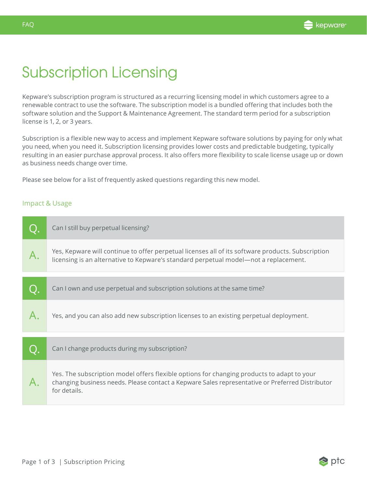## Subscription Licensing

Kepware's subscription program is structured as a recurring licensing model in which customers agree to a renewable contract to use the software. The subscription model is a bundled offering that includes both the software solution and the Support & Maintenance Agreement. The standard term period for a subscription license is 1, 2, or 3 years.

Subscription is a flexible new way to access and implement Kepware software solutions by paying for only what you need, when you need it. Subscription licensing provides lower costs and predictable budgeting, typically resulting in an easier purchase approval process. It also offers more flexibility to scale license usage up or down as business needs change over time.

Please see below for a list of frequently asked questions regarding this new model.

## Impact & Usage

| Can I still buy perpetual licensing?                                                                                                                                                                          |
|---------------------------------------------------------------------------------------------------------------------------------------------------------------------------------------------------------------|
| Yes, Kepware will continue to offer perpetual licenses all of its software products. Subscription<br>licensing is an alternative to Kepware's standard perpetual model-not a replacement.                     |
| Can I own and use perpetual and subscription solutions at the same time?                                                                                                                                      |
| Yes, and you can also add new subscription licenses to an existing perpetual deployment.                                                                                                                      |
| Can I change products during my subscription?                                                                                                                                                                 |
| Yes. The subscription model offers flexible options for changing products to adapt to your<br>changing business needs. Please contact a Kepware Sales representative or Preferred Distributor<br>for details. |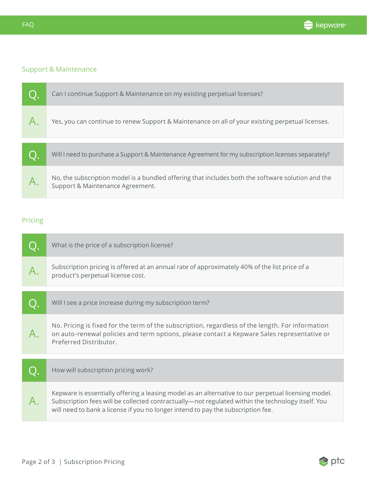

## Support & Maintenance

|    | Can I continue Support & Maintenance on my existing perpetual licenses?                                                               |
|----|---------------------------------------------------------------------------------------------------------------------------------------|
|    | Yes, you can continue to renew Support & Maintenance on all of your existing perpetual licenses.                                      |
|    |                                                                                                                                       |
| Q. | Will I need to purchase a Support & Maintenance Agreement for my subscription licenses separately?                                    |
|    | No, the subscription model is a bundled offering that includes both the software solution and the<br>Support & Maintenance Agreement. |

## Pricing

| What is the price of a subscription license?                                                                                                                                                                                                                                                 |
|----------------------------------------------------------------------------------------------------------------------------------------------------------------------------------------------------------------------------------------------------------------------------------------------|
| Subscription pricing is offered at an annual rate of approximately 40% of the list price of a<br>product's perpetual license cost.                                                                                                                                                           |
| Will I see a price increase during my subscription term?                                                                                                                                                                                                                                     |
| No. Pricing is fixed for the term of the subscription, regardless of the length. For information<br>on auto-renewal policies and term options, please contact a Kepware Sales representative or<br>Preferred Distributor.                                                                    |
| How will subscription pricing work?                                                                                                                                                                                                                                                          |
| Kepware is essentially offering a leasing model as an alternative to our perpetual licensing model.<br>Subscription fees will be collected contractually—not regulated within the technology itself. You<br>will need to bank a license if you no longer intend to pay the subscription fee. |